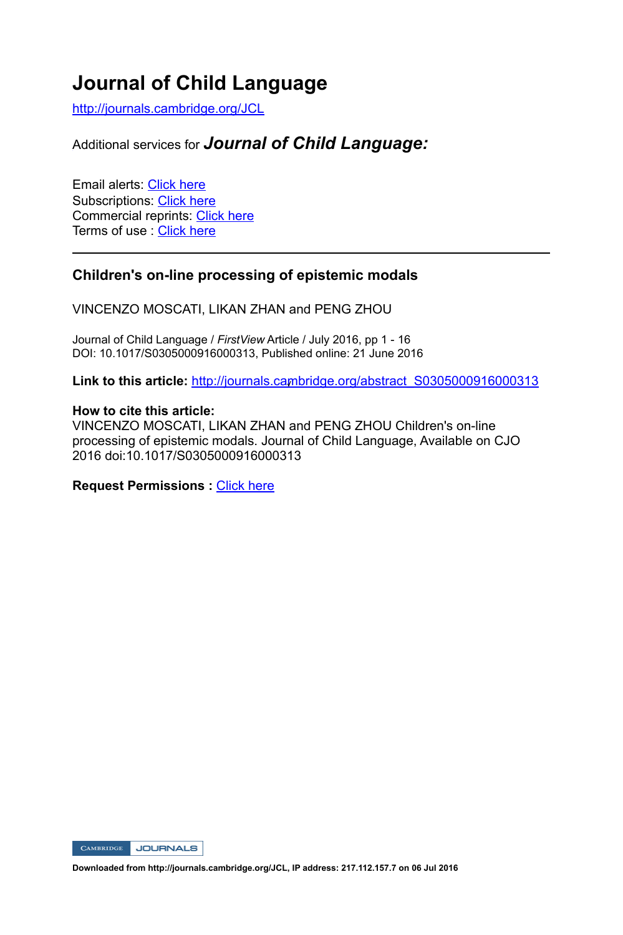# **Journal of Child Language**

http://journals.cambridge.org/JCL

# Additional services for *Journal of Child Language:*

Email alerts: Click here Subscriptions: Click here Commercial reprints: Click here Terms of use : Click here

# **Children's on-line processing of epistemic modals**

VINCENZO MOSCATI, LIKAN ZHAN and PENG ZHOU

Journal of Child Language / *FirstView* Article / July 2016, pp 1 - 16 DOI: 10.1017/S0305000916000313, Published online: 21 June 2016

Link to this article: http://journals.cambridge.org/abstract\_S0305000916000313

# **How to cite this article:**

VINCENZO MOSCATI, LIKAN ZHAN and PENG ZHOU Children's on-line processing of epistemic modals. Journal of Child Language, Available on CJO 2016 doi:10.1017/S0305000916000313

# **Request Permissions :** Click here

CAMBRIDGE JOURNALS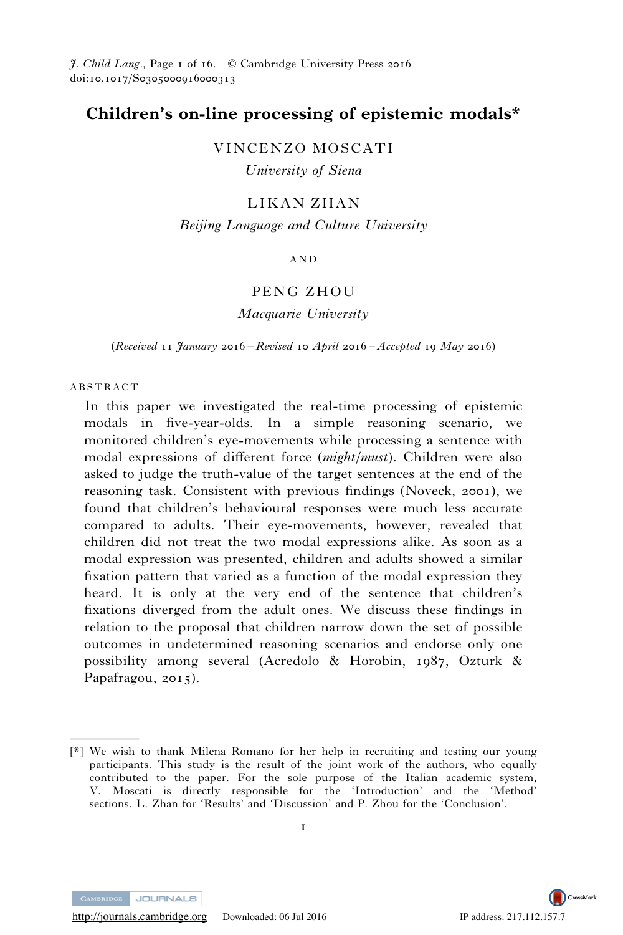7. Child Lang., Page 1 of 16. © Cambridge University Press 2016 doi:10.1017/S0305000916000313

# Children's on-line processing of epistemic modals\*

VINCENZO MOSCATI

University of Siena

# LIKAN ZHAN

Beijing Language and Culture University

AND

# PENG ZHOU

### Macquarie University

(Received 11 January 2016 – Revised 10 April 2016 – Accepted 19 May 2016)

ABSTRACT

In this paper we investigated the real-time processing of epistemic modals in five-year-olds. In a simple reasoning scenario, we monitored children's eye-movements while processing a sentence with modal expressions of different force (might/must). Children were also asked to judge the truth-value of the target sentences at the end of the reasoning task. Consistent with previous findings (Noveck, 2001), we found that children's behavioural responses were much less accurate compared to adults. Their eye-movements, however, revealed that children did not treat the two modal expressions alike. As soon as a modal expression was presented, children and adults showed a similar fixation pattern that varied as a function of the modal expression they heard. It is only at the very end of the sentence that children's fixations diverged from the adult ones. We discuss these findings in relation to the proposal that children narrow down the set of possible outcomes in undetermined reasoning scenarios and endorse only one possibility among several (Acredolo & Horobin, 1987, Ozturk & Papafragou,  $2015$ ).





<sup>[\*]</sup> We wish to thank Milena Romano for her help in recruiting and testing our young participants. This study is the result of the joint work of the authors, who equally contributed to the paper. For the sole purpose of the Italian academic system, V. Moscati is directly responsible for the 'Introduction' and the 'Method' sections. L. Zhan for 'Results' and 'Discussion' and P. Zhou for the 'Conclusion'.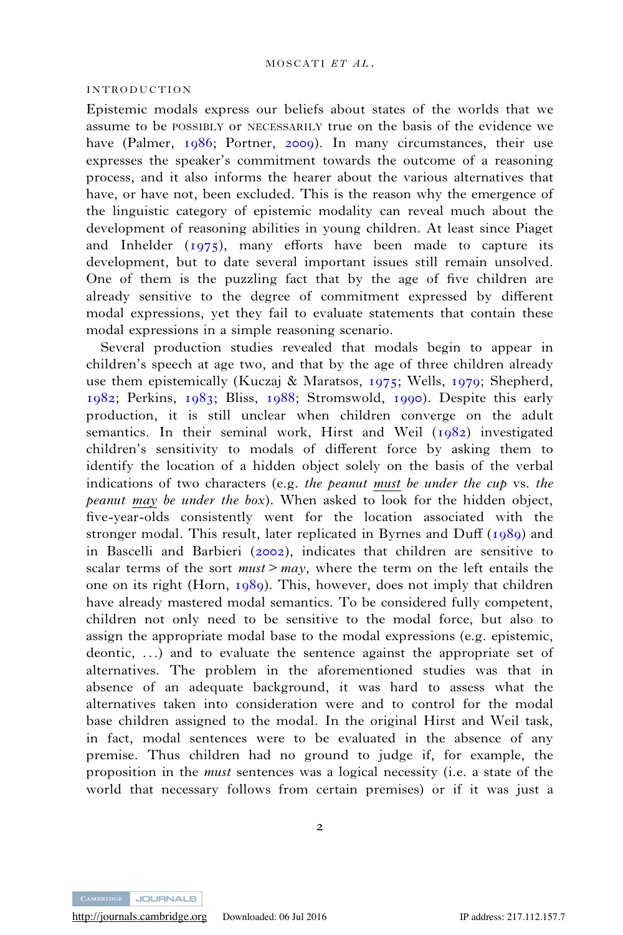#### INTRODUCTION

Epistemic modals express our beliefs about states of the worlds that we assume to be POSSIBLY or NECESSARILY true on the basis of the evidence we have (Palmer,  $1986$ ; Portner, 2009). In many circumstances, their use expresses the speaker's commitment towards the outcome of a reasoning process, and it also informs the hearer about the various alternatives that have, or have not, been excluded. This is the reason why the emergence of the linguistic category of epistemic modality can reveal much about the development of reasoning abilities in young children. At least since Piaget and Inhelder  $(1975)$ , many efforts have been made to capture its development, but to date several important issues still remain unsolved. One of them is the puzzling fact that by the age of five children are already sensitive to the degree of commitment expressed by different modal expressions, yet they fail to evaluate statements that contain these modal expressions in a simple reasoning scenario.

Several production studies revealed that modals begin to appear in children's speech at age two, and that by the age of three children already use them epistemically (Kuczaj & Maratsos,  $1975$ ; Wells,  $1979$ ; Shepherd,  $1982$ ; Perkins,  $1983$ ; Bliss,  $1988$ ; Stromswold,  $1990$ . Despite this early production, it is still unclear when children converge on the adult semantics. In their seminal work, Hirst and Weil  $(1082)$  investigated children's sensitivity to modals of different force by asking them to identify the location of a hidden object solely on the basis of the verbal indications of two characters (e.g. the peanut must be under the cup vs. the peanut may be under the box). When asked to look for the hidden object, five-year-olds consistently went for the location associated with the stronger modal. This result, later replicated in Byrnes and Duff  $(1989)$  and in Bascelli and Barbieri ( $2002$ ), indicates that children are sensitive to scalar terms of the sort *must* > may, where the term on the left entails the one on its right (Horn, 1989). This, however, does not imply that children have already mastered modal semantics. To be considered fully competent, children not only need to be sensitive to the modal force, but also to assign the appropriate modal base to the modal expressions (e.g. epistemic, deontic, ...) and to evaluate the sentence against the appropriate set of alternatives. The problem in the aforementioned studies was that in absence of an adequate background, it was hard to assess what the alternatives taken into consideration were and to control for the modal base children assigned to the modal. In the original Hirst and Weil task, in fact, modal sentences were to be evaluated in the absence of any premise. Thus children had no ground to judge if, for example, the proposition in the must sentences was a logical necessity (i.e. a state of the world that necessary follows from certain premises) or if it was just a

 $\overline{a}$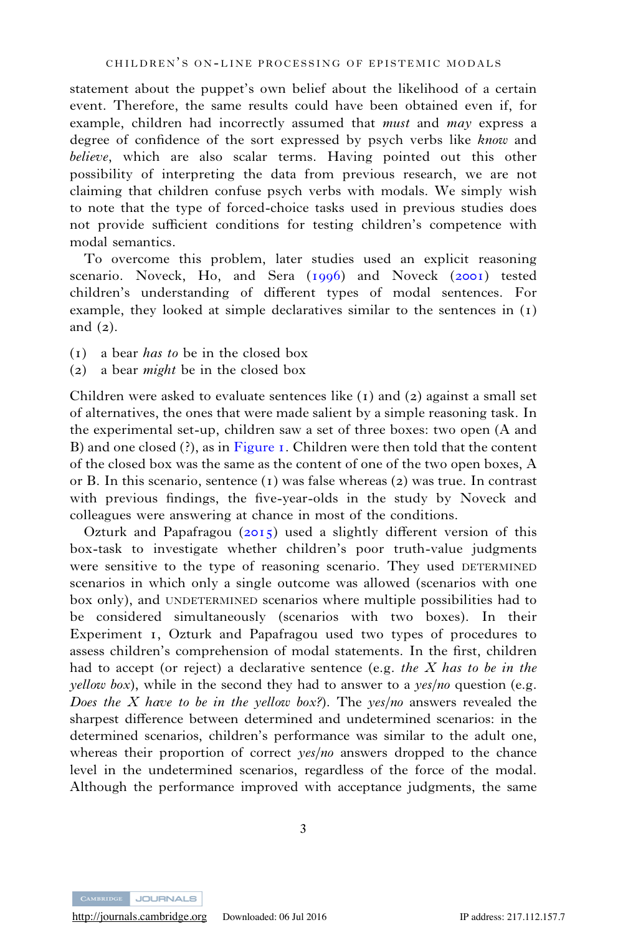statement about the puppet's own belief about the likelihood of a certain event. Therefore, the same results could have been obtained even if, for example, children had incorrectly assumed that *must* and *may* express a degree of confidence of the sort expressed by psych verbs like know and believe, which are also scalar terms. Having pointed out this other possibility of interpreting the data from previous research, we are not claiming that children confuse psych verbs with modals. We simply wish to note that the type of forced-choice tasks used in previous studies does not provide sufficient conditions for testing children's competence with modal semantics.

To overcome this problem, later studies used an explicit reasoning scenario. Noveck, Ho, and Sera  $(1996)$  and Noveck  $(2001)$  tested children's understanding of different types of modal sentences. For example, they looked at simple declaratives similar to the sentences in  $(1)$ and  $(2)$ .

- $(1)$  a bear *has to* be in the closed box
- (2) a bear *might* be in the closed box

Children were asked to evaluate sentences like  $(1)$  and  $(2)$  against a small set of alternatives, the ones that were made salient by a simple reasoning task. In the experimental set-up, children saw a set of three boxes: two open (A and B) and one closed  $(?)$ , as in [Figure](#page-4-0) 1. Children were then told that the content of the closed box was the same as the content of one of the two open boxes, A or B. In this scenario, sentence  $(i)$  was false whereas  $(i)$  was true. In contrast with previous findings, the five-year-olds in the study by Noveck and colleagues were answering at chance in most of the conditions.

Ozturk and Papafragou  $(2015)$  used a slightly different version of this box-task to investigate whether children's poor truth-value judgments were sensitive to the type of reasoning scenario. They used DETERMINED scenarios in which only a single outcome was allowed (scenarios with one box only), and UNDETERMINED scenarios where multiple possibilities had to be considered simultaneously (scenarios with two boxes). In their Experiment <sub>1</sub>, Ozturk and Papafragou used two types of procedures to assess children's comprehension of modal statements. In the first, children had to accept (or reject) a declarative sentence (e.g. the  $X$  has to be in the *yellow box*), while in the second they had to answer to a  $yes/no$  question (e.g. Does the X have to be in the yellow box?). The yes/no answers revealed the sharpest difference between determined and undetermined scenarios: in the determined scenarios, children's performance was similar to the adult one, whereas their proportion of correct *yes/no* answers dropped to the chance level in the undetermined scenarios, regardless of the force of the modal. Although the performance improved with acceptance judgments, the same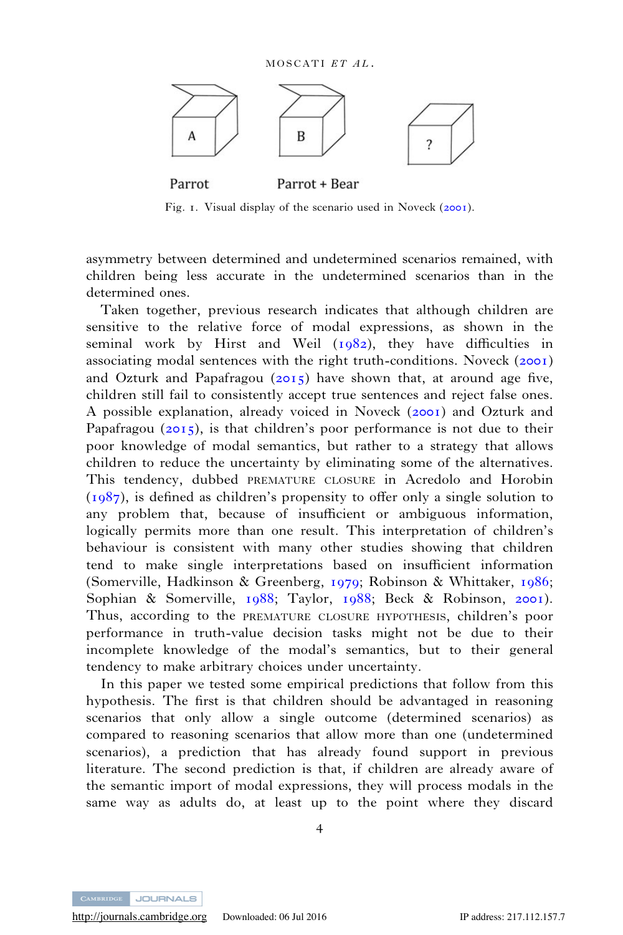<span id="page-4-0"></span>

Fig. 1. Visual display of the scenario used in Noveck (2001).

asymmetry between determined and undetermined scenarios remained, with children being less accurate in the undetermined scenarios than in the determined ones.

Taken together, previous research indicates that although children are sensitive to the relative force of modal expressions, as shown in the seminal work by Hirst and Weil  $(1982)$ , they have difficulties in associating modal sentences with the right truth-conditions. Noveck  $(2001)$ and Ozturk and Papafragou  $(2015)$  have shown that, at around age five, children still fail to consistently accept true sentences and reject false ones. A possible explanation, already voiced in Noveck  $(2001)$  and Ozturk and Papafragou ( $2015$ ), is that children's poor performance is not due to their poor knowledge of modal semantics, but rather to a strategy that allows children to reduce the uncertainty by eliminating some of the alternatives. This tendency, dubbed PREMATURE CLOSURE in Acredolo and Horobin  $(1987)$ , is defined as children's propensity to offer only a single solution to any problem that, because of insufficient or ambiguous information, logically permits more than one result. This interpretation of children's behaviour is consistent with many other studies showing that children tend to make single interpretations based on insufficient information (Somerville, Hadkinson & Greenberg, 1979; Robinson & Whittaker, 1986; Sophian & Somerville,  $1988$ ; Taylor,  $1988$ ; Beck & Robinson, 2001). Thus, according to the PREMATURE CLOSURE HYPOTHESIS, children's poor performance in truth-value decision tasks might not be due to their incomplete knowledge of the modal's semantics, but to their general tendency to make arbitrary choices under uncertainty.

In this paper we tested some empirical predictions that follow from this hypothesis. The first is that children should be advantaged in reasoning scenarios that only allow a single outcome (determined scenarios) as compared to reasoning scenarios that allow more than one (undetermined scenarios), a prediction that has already found support in previous literature. The second prediction is that, if children are already aware of the semantic import of modal expressions, they will process modals in the same way as adults do, at least up to the point where they discard

 $\overline{4}$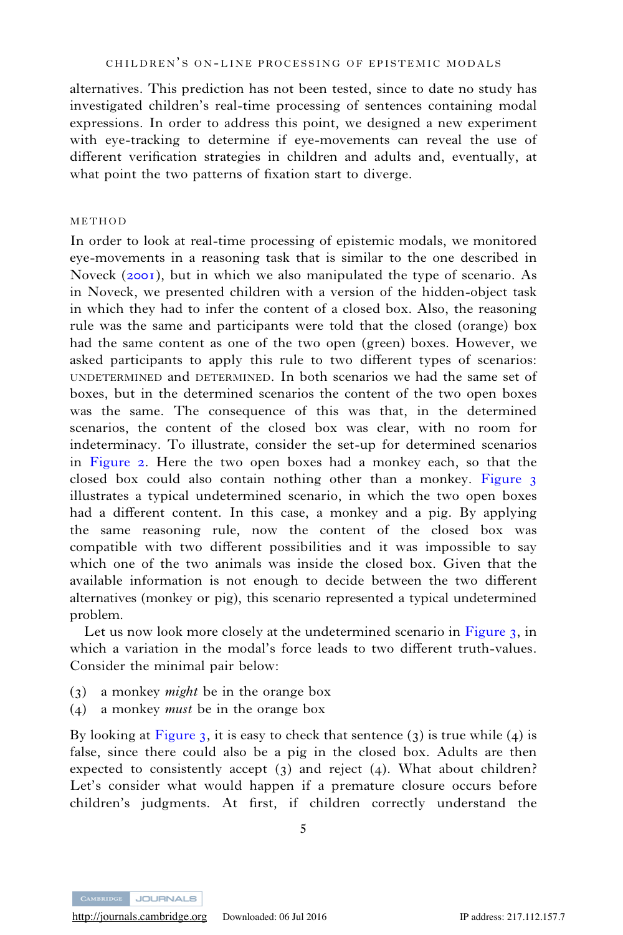alternatives. This prediction has not been tested, since to date no study has investigated children's real-time processing of sentences containing modal expressions. In order to address this point, we designed a new experiment with eye-tracking to determine if eye-movements can reveal the use of different verification strategies in children and adults and, eventually, at what point the two patterns of fixation start to diverge.

### METHOD

In order to look at real-time processing of epistemic modals, we monitored eye-movements in a reasoning task that is similar to the one described in Noveck  $(2001)$ , but in which we also manipulated the type of scenario. As in Noveck, we presented children with a version of the hidden-object task in which they had to infer the content of a closed box. Also, the reasoning rule was the same and participants were told that the closed (orange) box had the same content as one of the two open (green) boxes. However, we asked participants to apply this rule to two different types of scenarios: UNDETERMINED and DETERMINED. In both scenarios we had the same set of boxes, but in the determined scenarios the content of the two open boxes was the same. The consequence of this was that, in the determined scenarios, the content of the closed box was clear, with no room for indeterminacy. To illustrate, consider the set-up for determined scenarios in [Figure](#page-6-0) 2. Here the two open boxes had a monkey each, so that the closed box could also contain nothing other than a monkey. [Figure](#page-6-0) illustrates a typical undetermined scenario, in which the two open boxes had a different content. In this case, a monkey and a pig. By applying the same reasoning rule, now the content of the closed box was compatible with two different possibilities and it was impossible to say which one of the two animals was inside the closed box. Given that the available information is not enough to decide between the two different alternatives (monkey or pig), this scenario represented a typical undetermined problem.

Let us now look more closely at the undetermined scenario in [Figure](#page-6-0)  $\overline{3}$ , in which a variation in the modal's force leads to two different truth-values. Consider the minimal pair below:

- (3) a monkey *might* be in the orange box
- $(4)$  a monkey *must* be in the orange box

By looking at [Figure](#page-6-0) 3, it is easy to check that sentence  $(3)$  is true while  $(4)$  is false, since there could also be a pig in the closed box. Adults are then expected to consistently accept  $(3)$  and reject  $(4)$ . What about children? Let's consider what would happen if a premature closure occurs before children's judgments. At first, if children correctly understand the

5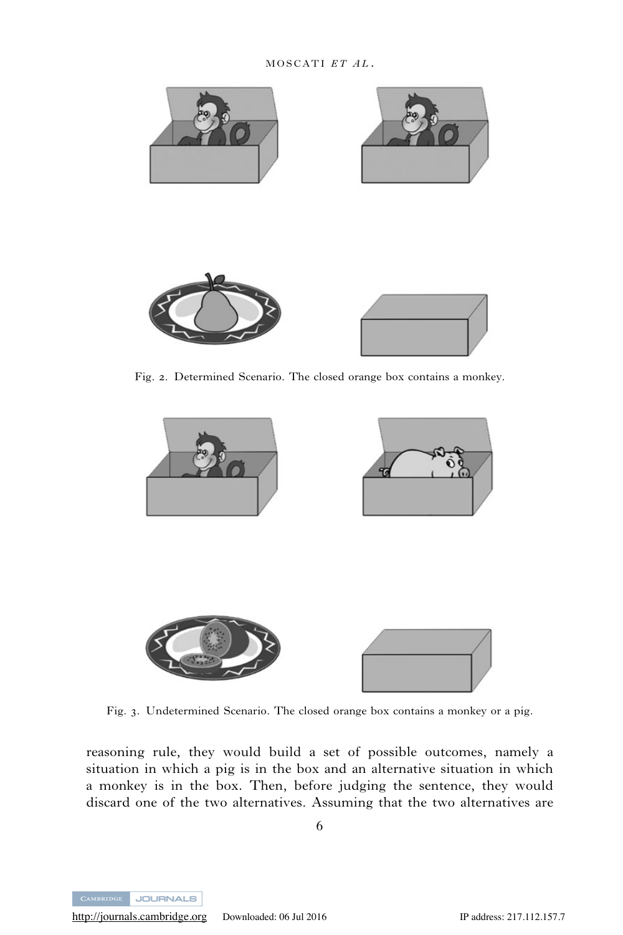<span id="page-6-0"></span>

Fig. 2. Determined Scenario. The closed orange box contains a monkey.



Fig. 3. Undetermined Scenario. The closed orange box contains a monkey or a pig.

reasoning rule, they would build a set of possible outcomes, namely a situation in which a pig is in the box and an alternative situation in which a monkey is in the box. Then, before judging the sentence, they would discard one of the two alternatives. Assuming that the two alternatives are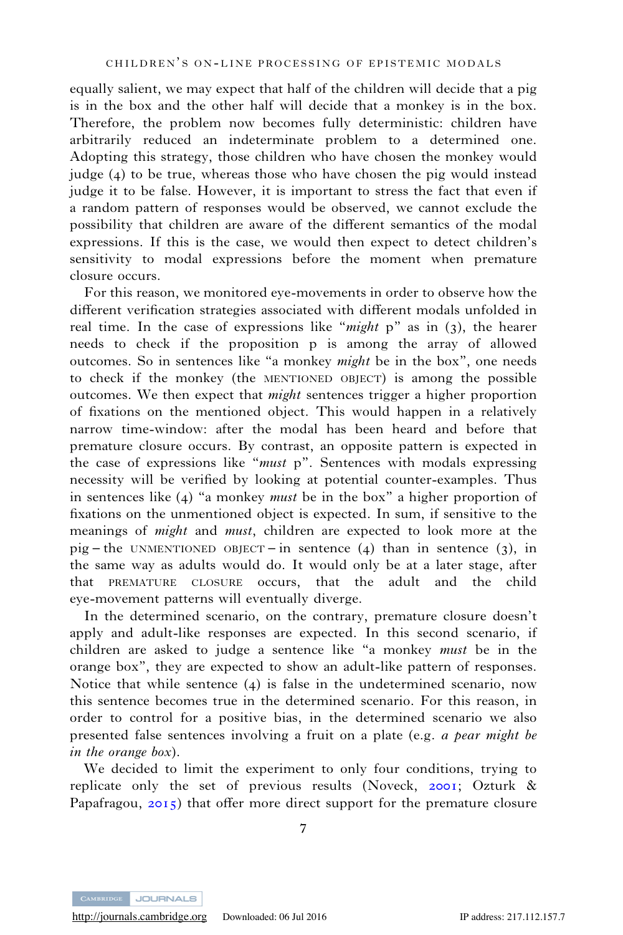equally salient, we may expect that half of the children will decide that a pig is in the box and the other half will decide that a monkey is in the box. Therefore, the problem now becomes fully deterministic: children have arbitrarily reduced an indeterminate problem to a determined one. Adopting this strategy, those children who have chosen the monkey would judge  $(4)$  to be true, whereas those who have chosen the pig would instead judge it to be false. However, it is important to stress the fact that even if a random pattern of responses would be observed, we cannot exclude the possibility that children are aware of the different semantics of the modal expressions. If this is the case, we would then expect to detect children's sensitivity to modal expressions before the moment when premature closure occurs.

For this reason, we monitored eye-movements in order to observe how the different verification strategies associated with different modals unfolded in real time. In the case of expressions like "might  $p$ " as in  $(3)$ , the hearer needs to check if the proposition p is among the array of allowed outcomes. So in sentences like "a monkey might be in the box", one needs to check if the monkey (the MENTIONED OBJECT) is among the possible outcomes. We then expect that might sentences trigger a higher proportion of fixations on the mentioned object. This would happen in a relatively narrow time-window: after the modal has been heard and before that premature closure occurs. By contrast, an opposite pattern is expected in the case of expressions like "must p". Sentences with modals expressing necessity will be verified by looking at potential counter-examples. Thus in sentences like  $(4)$  "a monkey *must* be in the box" a higher proportion of fixations on the unmentioned object is expected. In sum, if sensitive to the meanings of might and must, children are expected to look more at the pig – the UNMENTIONED OBJECT – in sentence (4) than in sentence (3), in the same way as adults would do. It would only be at a later stage, after that PREMATURE CLOSURE occurs, that the adult and the child eye-movement patterns will eventually diverge.

In the determined scenario, on the contrary, premature closure doesn't apply and adult-like responses are expected. In this second scenario, if children are asked to judge a sentence like "a monkey must be in the orange box", they are expected to show an adult-like pattern of responses. Notice that while sentence  $(4)$  is false in the undetermined scenario, now this sentence becomes true in the determined scenario. For this reason, in order to control for a positive bias, in the determined scenario we also presented false sentences involving a fruit on a plate (e.g. a pear might be in the orange box).

We decided to limit the experiment to only four conditions, trying to replicate only the set of previous results (Noveck,  $2001$ ; Ozturk & Papafragou,  $2015$ ) that offer more direct support for the premature closure

7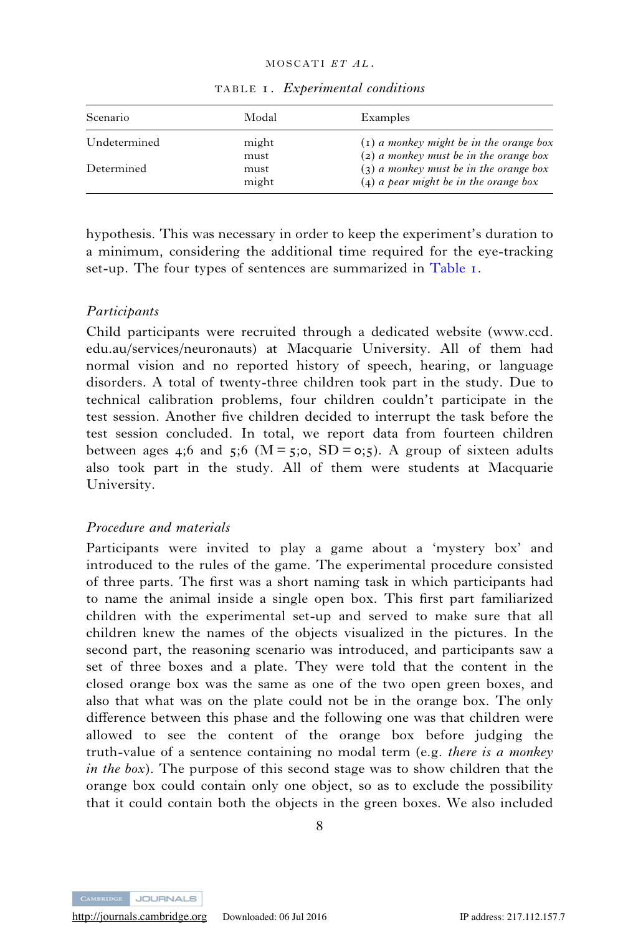#### MOSCATI ET AL.

| Scenario     | Modal         | Examples                                                                              |
|--------------|---------------|---------------------------------------------------------------------------------------|
| Undetermined | might<br>must | $(1)$ a monkey might be in the orange box<br>$(z)$ a monkey must be in the orange box |
| Determined   | must<br>might | $(3)$ a monkey must be in the orange box<br>$(4)$ a pear might be in the orange box   |

TABLE I. Experimental conditions

hypothesis. This was necessary in order to keep the experiment's duration to a minimum, considering the additional time required for the eye-tracking set-up. The four types of sentences are summarized in Table I.

# Participants

Child participants were recruited through a dedicated website (www.ccd. edu.au/services/neuronauts) at Macquarie University. All of them had normal vision and no reported history of speech, hearing, or language disorders. A total of twenty-three children took part in the study. Due to technical calibration problems, four children couldn't participate in the test session. Another five children decided to interrupt the task before the test session concluded. In total, we report data from fourteen children between ages 4;6 and 5;6 (M = 5;0, SD = 0;5). A group of sixteen adults also took part in the study. All of them were students at Macquarie University.

# Procedure and materials

Participants were invited to play a game about a 'mystery box' and introduced to the rules of the game. The experimental procedure consisted of three parts. The first was a short naming task in which participants had to name the animal inside a single open box. This first part familiarized children with the experimental set-up and served to make sure that all children knew the names of the objects visualized in the pictures. In the second part, the reasoning scenario was introduced, and participants saw a set of three boxes and a plate. They were told that the content in the closed orange box was the same as one of the two open green boxes, and also that what was on the plate could not be in the orange box. The only difference between this phase and the following one was that children were allowed to see the content of the orange box before judging the truth-value of a sentence containing no modal term (e.g. there is a monkey in the box). The purpose of this second stage was to show children that the orange box could contain only one object, so as to exclude the possibility that it could contain both the objects in the green boxes. We also included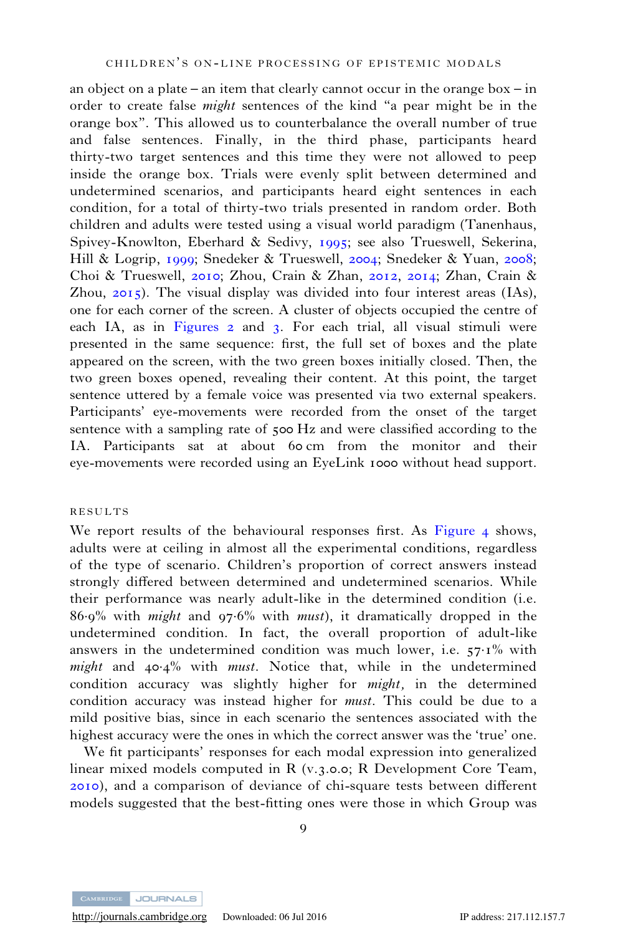an object on a plate – an item that clearly cannot occur in the orange  $box - in$ order to create false might sentences of the kind "a pear might be in the orange box". This allowed us to counterbalance the overall number of true and false sentences. Finally, in the third phase, participants heard thirty-two target sentences and this time they were not allowed to peep inside the orange box. Trials were evenly split between determined and undetermined scenarios, and participants heard eight sentences in each condition, for a total of thirty-two trials presented in random order. Both children and adults were tested using a visual world paradigm (Tanenhaus, Spivey-Knowlton, Eberhard & Sedivy, 1995; see also Trueswell, Sekerina, Hill & Logrip, 1999; Snedeker & Trueswell, 2004; Snedeker & Yuan, 2008; Choi & Trueswell, 2010; Zhou, Crain & Zhan, 2012, 2014; Zhan, Crain & Zhou,  $2015$ ). The visual display was divided into four interest areas (IAs), one for each corner of the screen. A cluster of objects occupied the centre of each IA, as in [Figures](#page-6-0)  $2$  and  $3$ . For each trial, all visual stimuli were presented in the same sequence: first, the full set of boxes and the plate appeared on the screen, with the two green boxes initially closed. Then, the two green boxes opened, revealing their content. At this point, the target sentence uttered by a female voice was presented via two external speakers. Participants' eye-movements were recorded from the onset of the target sentence with a sampling rate of 500 Hz and were classified according to the IA. Participants sat at about 60 cm from the monitor and their eye-movements were recorded using an EyeLink 1000 without head support.

### RESULTS

We report results of the behavioural responses first. As [Figure](#page-10-0)  $4$  shows, adults were at ceiling in almost all the experimental conditions, regardless of the type of scenario. Children's proportion of correct answers instead strongly differed between determined and undetermined scenarios. While their performance was nearly adult-like in the determined condition (i.e.  $86.9\%$  with *might* and  $97.6\%$  with *must*), it dramatically dropped in the undetermined condition. In fact, the overall proportion of adult-like answers in the undetermined condition was much lower, i.e.  $57 \cdot 1\%$  with  $might$  and  $40.4\%$  with *must*. Notice that, while in the undetermined condition accuracy was slightly higher for might, in the determined condition accuracy was instead higher for must. This could be due to a mild positive bias, since in each scenario the sentences associated with the highest accuracy were the ones in which the correct answer was the 'true' one.

We fit participants' responses for each modal expression into generalized linear mixed models computed in R  $(v.3.0.0; R$  Development Core Team, ), and a comparison of deviance of chi-square tests between different models suggested that the best-fitting ones were those in which Group was

 $\mathbf Q$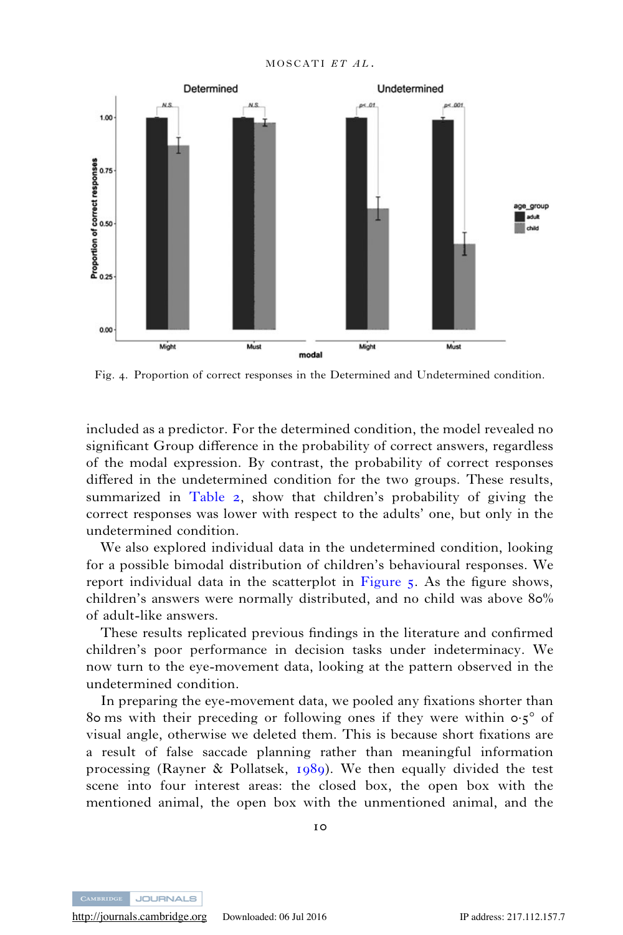<span id="page-10-0"></span>

Fig. 4. Proportion of correct responses in the Determined and Undetermined condition.

included as a predictor. For the determined condition, the model revealed no significant Group difference in the probability of correct answers, regardless of the modal expression. By contrast, the probability of correct responses differed in the undetermined condition for the two groups. These results, summarized in [Table](#page-11-0) 2, show that children's probability of giving the correct responses was lower with respect to the adults' one, but only in the undetermined condition.

We also explored individual data in the undetermined condition, looking for a possible bimodal distribution of children's behavioural responses. We report individual data in the scatterplot in [Figure](#page-11-0)  $\overline{5}$ . As the figure shows, children's answers were normally distributed, and no child was above 80% of adult-like answers.

These results replicated previous findings in the literature and confirmed children's poor performance in decision tasks under indeterminacy. We now turn to the eye-movement data, looking at the pattern observed in the undetermined condition.

In preparing the eye-movement data, we pooled any fixations shorter than 80 ms with their preceding or following ones if they were within  $\circ$ -5° of visual angle, otherwise we deleted them. This is because short fixations are a result of false saccade planning rather than meaningful information processing (Rayner & Pollatsek,  $1989$ ). We then equally divided the test scene into four interest areas: the closed box, the open box with the mentioned animal, the open box with the unmentioned animal, and the

IO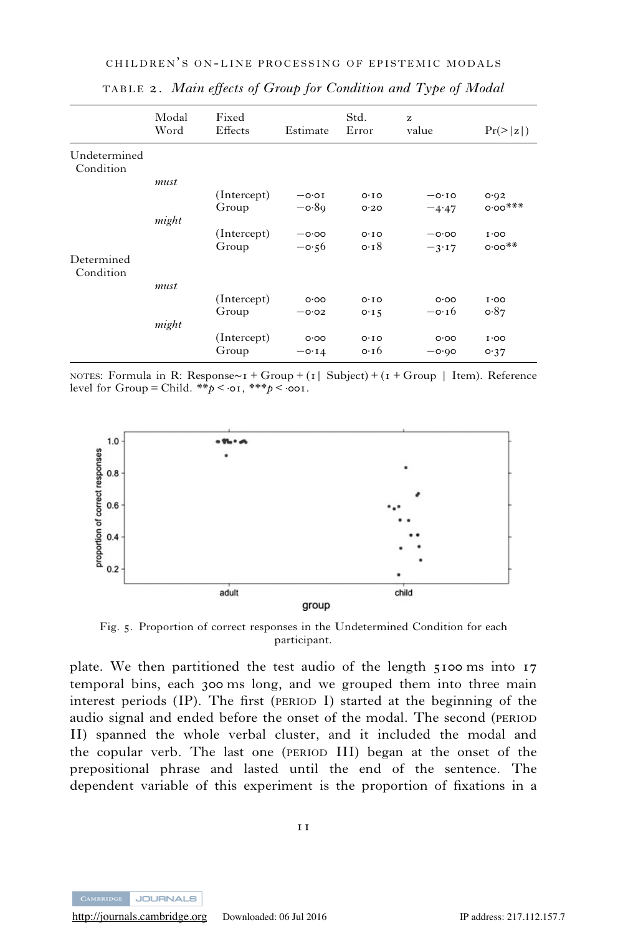<span id="page-11-0"></span>

| CHILDREN'S ON-LINE PROCESSING OF EPISTEMIC MODALS |  |  |  |
|---------------------------------------------------|--|--|--|
|---------------------------------------------------|--|--|--|

|                           | Modal<br>Word | Fixed<br>Effects | Estimate          | Std.<br>Error | z<br>value        | $Pr(>\vert z \vert)$ |
|---------------------------|---------------|------------------|-------------------|---------------|-------------------|----------------------|
| Undetermined<br>Condition |               |                  |                   |               |                   |                      |
|                           | must          |                  |                   |               |                   |                      |
|                           |               | (Intercept)      | $-0.01$           | $O \cdot I O$ | $-0.10$           | O·Q2                 |
|                           |               | Group            | $-\circ \cdot 89$ | O.2O          | $-4.47$           | $0.00$ ***           |
|                           | might         |                  |                   |               |                   |                      |
|                           |               | (Intercept)      | $-0.00$           | $O \cdot I O$ | $-0.00$           | I O                  |
|                           |               | Group            | $-0.56$           | 0.18          | $-3.17$           | $0.00$ **            |
| Determined                |               |                  |                   |               |                   |                      |
| Condition                 |               |                  |                   |               |                   |                      |
|                           | must          |                  |                   |               |                   |                      |
|                           |               | (Intercept)      | O O O             | $O \cdot I O$ | O O O             | I O                  |
|                           |               | Group            | $-0.02$           | 0.15          | $-\circ \cdot 16$ | $\circ 87$           |
|                           | might         |                  |                   |               |                   |                      |
|                           |               | (Intercept)      | O O O             | $O \cdot I O$ | O O O             | 1.00                 |
|                           |               | Group            | $-0.14$           | 0.16          | $-0.00$           | 0.37                 |

TABLE 2. Main effects of Group for Condition and Type of Modal

NOTES: Formula in R: Response∼ I + Group + (I Subject) + (I + Group | Item). Reference level for Group = Child. \*\* $p \leq \infty$ <sub>1</sub>, \*\*\* $p \leq \infty$ .



Fig. 5. Proportion of correct responses in the Undetermined Condition for each participant.

plate. We then partitioned the test audio of the length  $\frac{1}{2}$  rooms into  $\frac{1}{2}$ temporal bins, each 300 ms long, and we grouped them into three main interest periods (IP). The first (PERIOD I) started at the beginning of the audio signal and ended before the onset of the modal. The second (PERIOD II) spanned the whole verbal cluster, and it included the modal and the copular verb. The last one (PERIOD III) began at the onset of the prepositional phrase and lasted until the end of the sentence. The dependent variable of this experiment is the proportion of fixations in a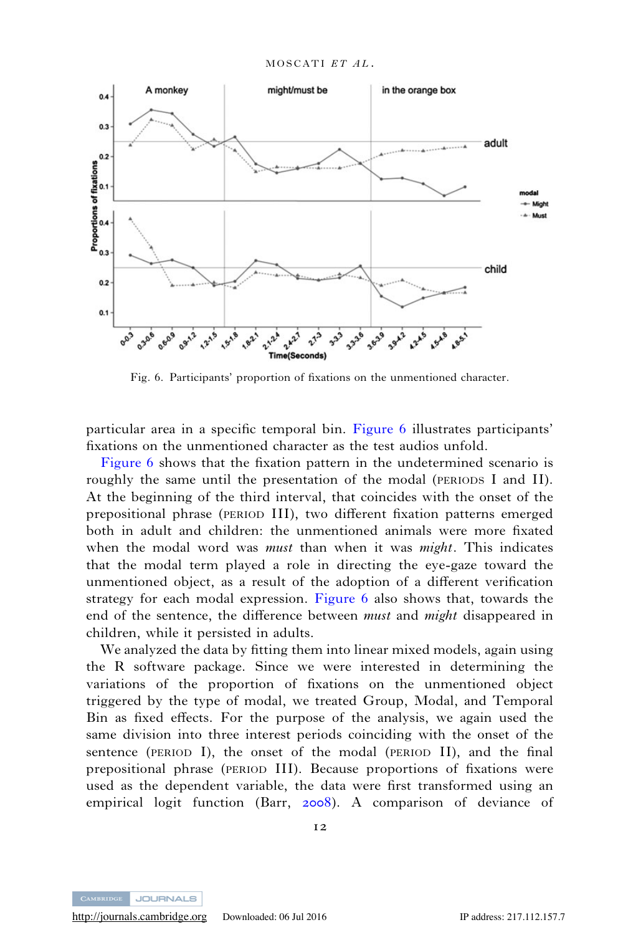<span id="page-12-0"></span>

Fig. 6. Participants' proportion of fixations on the unmentioned character.

particular area in a specific temporal bin. Figure 6 illustrates participants' fixations on the unmentioned character as the test audios unfold.

Figure 6 shows that the fixation pattern in the undetermined scenario is roughly the same until the presentation of the modal (PERIODS I and II). At the beginning of the third interval, that coincides with the onset of the prepositional phrase (PERIOD III), two different fixation patterns emerged both in adult and children: the unmentioned animals were more fixated when the modal word was *must* than when it was *might*. This indicates that the modal term played a role in directing the eye-gaze toward the unmentioned object, as a result of the adoption of a different verification strategy for each modal expression. Figure 6 also shows that, towards the end of the sentence, the difference between *must* and *might* disappeared in children, while it persisted in adults.

We analyzed the data by fitting them into linear mixed models, again using the R software package. Since we were interested in determining the variations of the proportion of fixations on the unmentioned object triggered by the type of modal, we treated Group, Modal, and Temporal Bin as fixed effects. For the purpose of the analysis, we again used the same division into three interest periods coinciding with the onset of the sentence (PERIOD I), the onset of the modal (PERIOD II), and the final prepositional phrase (PERIOD III). Because proportions of fixations were used as the dependent variable, the data were first transformed using an empirical logit function (Barr, 2008). A comparison of deviance of

 $I<sub>2</sub>$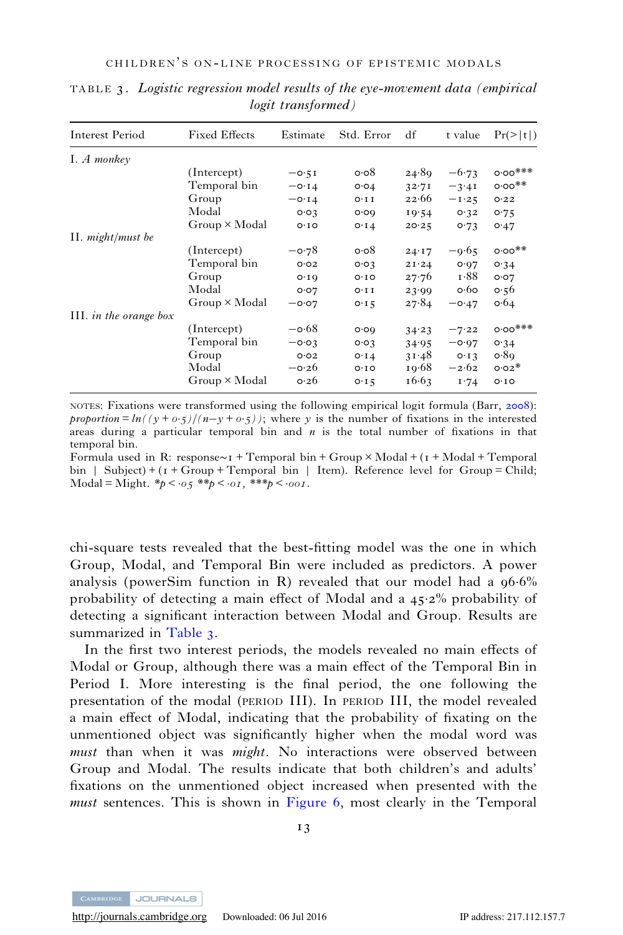| <b>Interest Period</b> | <b>Fixed Effects</b> | Estimate       | Std. Error    | df    | t value       | Pr(>  t )     |
|------------------------|----------------------|----------------|---------------|-------|---------------|---------------|
| I. A monkey            |                      |                |               |       |               |               |
|                        | (Intercept)          | $-0.51$        | o·o8          | 24.89 | $-6.73$       | $0.00$ ***    |
|                        | Temporal bin         | $-0.14$        | O O 4         | 32.71 | $-3.41$       | $0.00$ **     |
|                        | Group                | $-0.14$        | $O \cdot I I$ | 22.66 | $-1.25$       | O·22          |
|                        | Modal                | O O 3          | O O Q         | 10.54 | 0.32          | 0.75          |
|                        | $Group \times Model$ | $O \cdot I O$  | $O \cdot I$ 4 | 20.25 | 0.73          | O.47          |
| II. might/must be      |                      |                |               |       |               |               |
|                        | (Intercept)          | $-\circ 78$    | o·o8          | 24:17 | $-9.65$       | $0.00$ **     |
|                        | Temporal bin         | O O 2          | 0.03          | 21.24 | O.97          | 0.34          |
|                        | Group                | O <sub>1</sub> | $O \cdot I O$ | 27.76 | 1.88          | O O 7         |
|                        | Modal                | O O 7          | $O \cdot I I$ | 23.99 | o.60          | 0.56          |
|                        | $Group \times Modal$ | $-0.07$        | 0.15          | 27.84 | $-0.47$       | $\circ 64$    |
| III. in the orange box |                      |                |               |       |               |               |
|                        | (Intercept)          | $-\circ 68$    | $o \cdot o$   | 34.23 | $-7.22$       | $0.00$ ***    |
|                        | Temporal bin         | $-0.03$        | O O 3         | 34.95 | $-0.97$       | 0.34          |
|                        | Group                | O O 2          | $O \cdot I$ 4 | 31.48 | $O \cdot I$ 3 | o.89          |
|                        | Modal                | $-\circ 26$    | O·IO          | 19.68 | $-2.62$       | $0.02*$       |
|                        | $Group \times Modal$ | o.26           | 0.15          | 16.63 | 1.74          | $O \cdot I O$ |

TABLE 3. Logistic regression model results of the eye-movement data (empirical logit transformed)

NOTES: Fixations were transformed using the following empirical logit formula (Barr,  $2008$ ): proportion =  $ln((y + o.5)/(n-y + o.5))$ ; where y is the number of fixations in the interested areas during a particular temporal bin and  $n$  is the total number of fixations in that temporal bin.

Formula used in R: response∼ + Temporal bin + Group × Modal + ( + Modal + Temporal bin | Subject) +  $(r + Group + Temporal bin$  | Item). Reference level for  $Group = Child;$ Modal = Might.  $*_p < \cdot o_5$   $**_p < \cdot o_1$ ,  $**_p < \cdot o_0$ .

chi-square tests revealed that the best-fitting model was the one in which Group, Modal, and Temporal Bin were included as predictors. A power analysis (powerSim function in R) revealed that our model had a  $96.6\%$ probability of detecting a main effect of Modal and a  $45.2\%$  probability of detecting a significant interaction between Modal and Group. Results are summarized in Table 3.

In the first two interest periods, the models revealed no main effects of Modal or Group, although there was a main effect of the Temporal Bin in Period I. More interesting is the final period, the one following the presentation of the modal (PERIOD III). In PERIOD III, the model revealed a main effect of Modal, indicating that the probability of fixating on the unmentioned object was significantly higher when the modal word was must than when it was *might*. No interactions were observed between Group and Modal. The results indicate that both children's and adults' fixations on the unmentioned object increased when presented with the  $must$  sentences. This is shown in [Figure](#page-12-0)  $6$ , most clearly in the Temporal

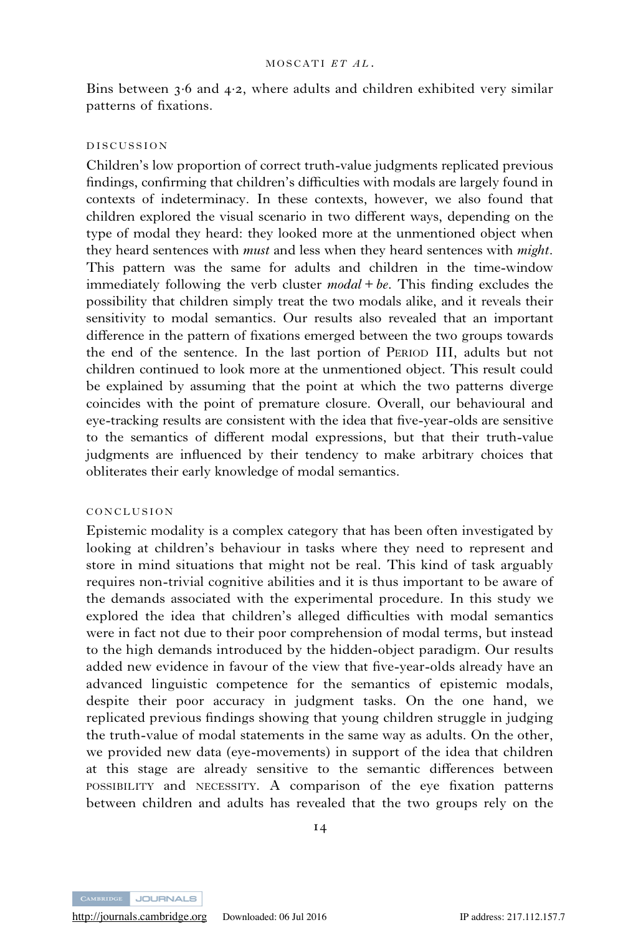Bins between  $3.6$  and  $4.2$ , where adults and children exhibited very similar patterns of fixations.

### DISCUSSION

Children's low proportion of correct truth-value judgments replicated previous findings, confirming that children's difficulties with modals are largely found in contexts of indeterminacy. In these contexts, however, we also found that children explored the visual scenario in two different ways, depending on the type of modal they heard: they looked more at the unmentioned object when they heard sentences with *must* and less when they heard sentences with *might*. This pattern was the same for adults and children in the time-window immediately following the verb cluster  $\textit{modal} + \textit{be}$ . This finding excludes the possibility that children simply treat the two modals alike, and it reveals their sensitivity to modal semantics. Our results also revealed that an important difference in the pattern of fixations emerged between the two groups towards the end of the sentence. In the last portion of PERIOD III, adults but not children continued to look more at the unmentioned object. This result could be explained by assuming that the point at which the two patterns diverge coincides with the point of premature closure. Overall, our behavioural and eye-tracking results are consistent with the idea that five-year-olds are sensitive to the semantics of different modal expressions, but that their truth-value judgments are influenced by their tendency to make arbitrary choices that obliterates their early knowledge of modal semantics.

# CONCLUSION

Epistemic modality is a complex category that has been often investigated by looking at children's behaviour in tasks where they need to represent and store in mind situations that might not be real. This kind of task arguably requires non-trivial cognitive abilities and it is thus important to be aware of the demands associated with the experimental procedure. In this study we explored the idea that children's alleged difficulties with modal semantics were in fact not due to their poor comprehension of modal terms, but instead to the high demands introduced by the hidden-object paradigm. Our results added new evidence in favour of the view that five-year-olds already have an advanced linguistic competence for the semantics of epistemic modals, despite their poor accuracy in judgment tasks. On the one hand, we replicated previous findings showing that young children struggle in judging the truth-value of modal statements in the same way as adults. On the other, we provided new data (eye-movements) in support of the idea that children at this stage are already sensitive to the semantic differences between POSSIBILITY and NECESSITY. A comparison of the eye fixation patterns between children and adults has revealed that the two groups rely on the

14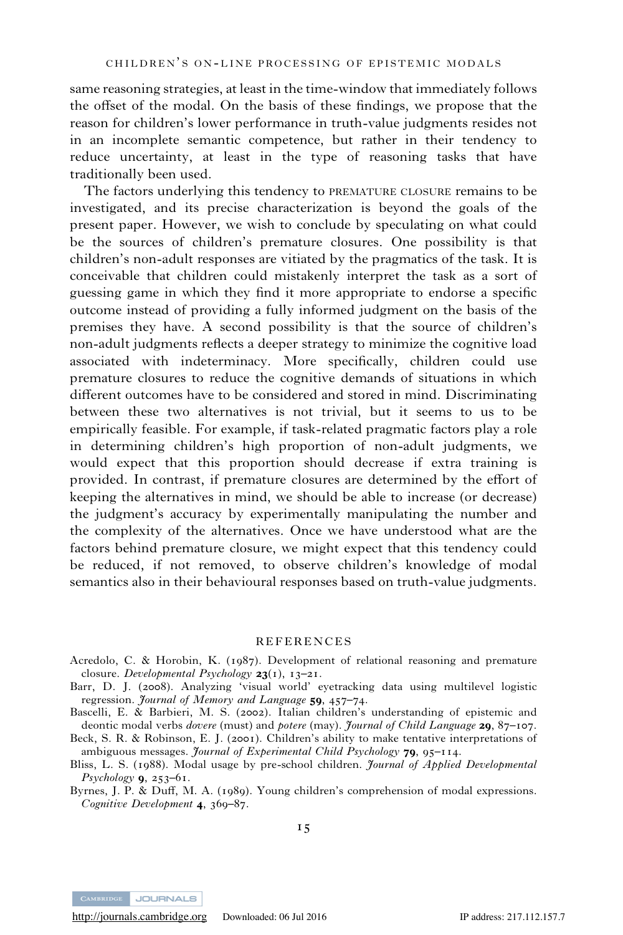<span id="page-15-0"></span>same reasoning strategies, at least in the time-window that immediately follows the offset of the modal. On the basis of these findings, we propose that the reason for children's lower performance in truth-value judgments resides not in an incomplete semantic competence, but rather in their tendency to reduce uncertainty, at least in the type of reasoning tasks that have traditionally been used.

The factors underlying this tendency to PREMATURE CLOSURE remains to be investigated, and its precise characterization is beyond the goals of the present paper. However, we wish to conclude by speculating on what could be the sources of children's premature closures. One possibility is that children's non-adult responses are vitiated by the pragmatics of the task. It is conceivable that children could mistakenly interpret the task as a sort of guessing game in which they find it more appropriate to endorse a specific outcome instead of providing a fully informed judgment on the basis of the premises they have. A second possibility is that the source of children's non-adult judgments reflects a deeper strategy to minimize the cognitive load associated with indeterminacy. More specifically, children could use premature closures to reduce the cognitive demands of situations in which different outcomes have to be considered and stored in mind. Discriminating between these two alternatives is not trivial, but it seems to us to be empirically feasible. For example, if task-related pragmatic factors play a role in determining children's high proportion of non-adult judgments, we would expect that this proportion should decrease if extra training is provided. In contrast, if premature closures are determined by the effort of keeping the alternatives in mind, we should be able to increase (or decrease) the judgment's accuracy by experimentally manipulating the number and the complexity of the alternatives. Once we have understood what are the factors behind premature closure, we might expect that this tendency could be reduced, if not removed, to observe children's knowledge of modal semantics also in their behavioural responses based on truth-value judgments.

### REFERENCES

- Acredolo, C. & Horobin, K. (1987). Development of relational reasoning and premature closure. Developmental Psychology  $23(i)$ ,  $13-21$ .
- Barr, D. J. (2008). Analyzing 'visual world' eyetracking data using multilevel logistic regression. Journal of Memory and Language 59, 457-74.
- Bascelli, E. & Barbieri, M. S. (2002). Italian children's understanding of epistemic and deontic modal verbs *dovere* (must) and *potere* (may). *Journal of Child Language*  $29, 87 - 107$ .
- Beck, S. R. & Robinson, E. J. (2001). Children's ability to make tentative interpretations of ambiguous messages. Journal of Experimental Child Psychology  $79, 95-114$ .
- Bliss, L. S. (1988). Modal usage by pre-school children. Journal of Applied Developmental  $Psychology$  **9**, 253–61.
- Byrnes, J. P. & Duff, M. A. (1989). Young children's comprehension of modal expressions. Cognitive Development 4, 369-87.